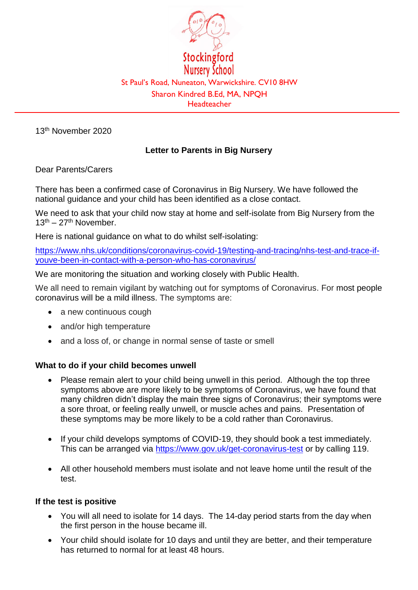

13th November 2020

# **Letter to Parents in Big Nursery**

Dear Parents/Carers

There has been a confirmed case of Coronavirus in Big Nursery. We have followed the national guidance and your child has been identified as a close contact.

We need to ask that your child now stay at home and self-isolate from Big Nursery from the  $13<sup>th</sup> - 27<sup>th</sup>$  November.

Here is national guidance on what to do whilst self-isolating:

[https://www.nhs.uk/conditions/coronavirus-covid-19/testing-and-tracing/nhs-test-and-trace-if](https://www.nhs.uk/conditions/coronavirus-covid-19/testing-and-tracing/nhs-test-and-trace-if-youve-been-in-contact-with-a-person-who-has-coronavirus/)[youve-been-in-contact-with-a-person-who-has-coronavirus/](https://www.nhs.uk/conditions/coronavirus-covid-19/testing-and-tracing/nhs-test-and-trace-if-youve-been-in-contact-with-a-person-who-has-coronavirus/)

We are monitoring the situation and working closely with Public Health.

We all need to remain vigilant by watching out for symptoms of Coronavirus. For most people coronavirus will be a mild illness. The symptoms are:

- a new continuous cough
- and/or high temperature
- and a loss of, or change in normal sense of taste or smell

#### **What to do if your child becomes unwell**

- Please remain alert to your child being unwell in this period. Although the top three symptoms above are more likely to be symptoms of Coronavirus, we have found that many children didn't display the main three signs of Coronavirus; their symptoms were a sore throat, or feeling really unwell, or muscle aches and pains. Presentation of these symptoms may be more likely to be a cold rather than Coronavirus.
- If your child develops symptoms of COVID-19, they should book a test immediately. This can be arranged via<https://www.gov.uk/get-coronavirus-test> or by calling 119.
- All other household members must isolate and not leave home until the result of the test.

### **If the test is positive**

- You will all need to isolate for 14 days. The 14-day period starts from the day when the first person in the house became ill.
- Your child should isolate for 10 days and until they are better, and their temperature has returned to normal for at least 48 hours.